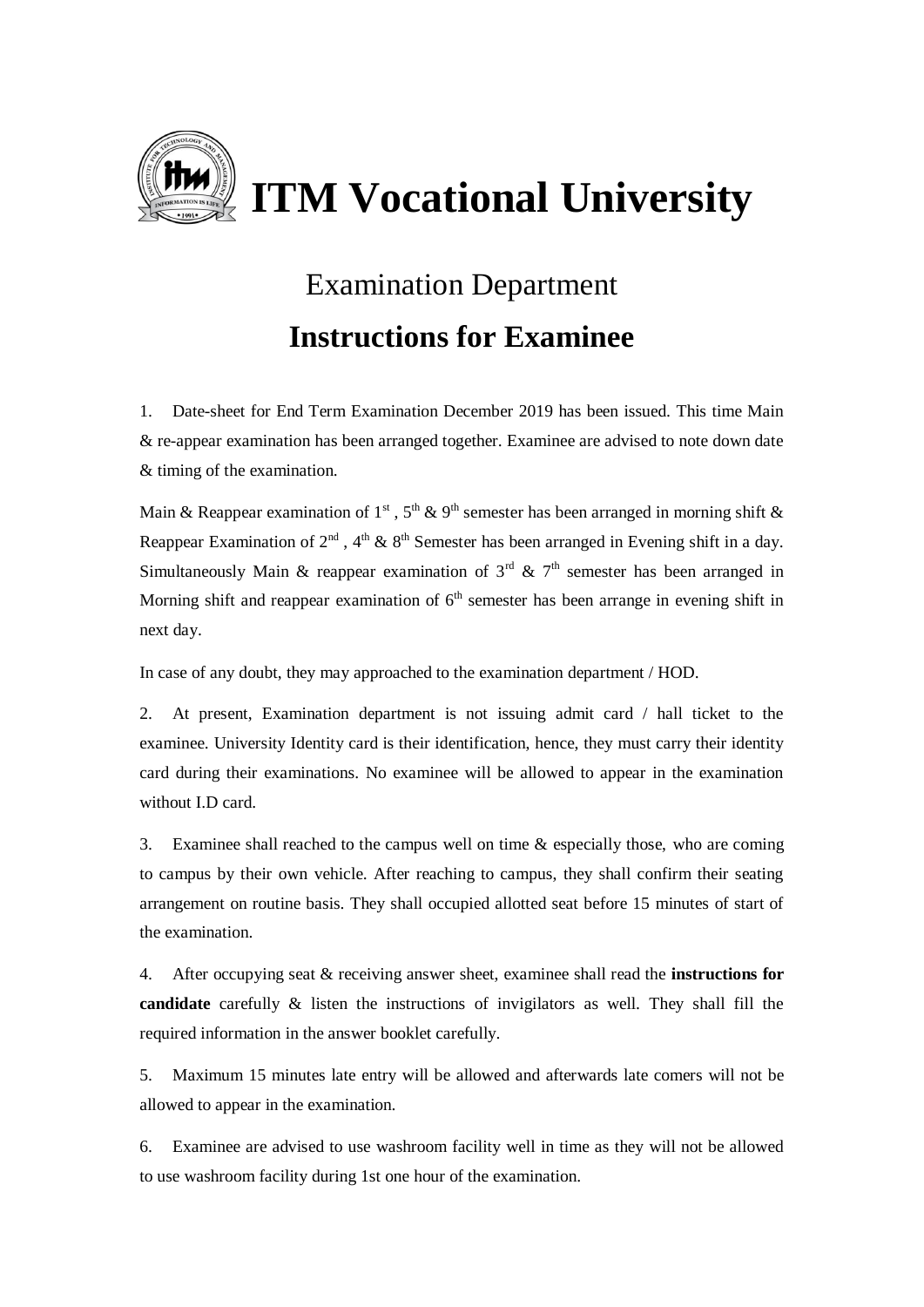

## Examination Department **Instructions for Examinee**

1. Date-sheet for End Term Examination December 2019 has been issued. This time Main & re-appear examination has been arranged together. Examinee are advised to note down date & timing of the examination.

Main & Reappear examination of 1<sup>st</sup>,  $5<sup>th</sup>$  & 9<sup>th</sup> semester has been arranged in morning shift & Reappear Examination of  $2<sup>nd</sup>$ ,  $4<sup>th</sup>$  &  $8<sup>th</sup>$  Semester has been arranged in Evening shift in a day. Simultaneously Main & reappear examination of  $3<sup>rd</sup>$  &  $7<sup>th</sup>$  semester has been arranged in Morning shift and reappear examination of  $6<sup>th</sup>$  semester has been arrange in evening shift in next day.

In case of any doubt, they may approached to the examination department / HOD.

2. At present, Examination department is not issuing admit card / hall ticket to the examinee. University Identity card is their identification, hence, they must carry their identity card during their examinations. No examinee will be allowed to appear in the examination without I.D card.

3. Examinee shall reached to the campus well on time  $\&$  especially those, who are coming to campus by their own vehicle. After reaching to campus, they shall confirm their seating arrangement on routine basis. They shall occupied allotted seat before 15 minutes of start of the examination.

4. After occupying seat & receiving answer sheet, examinee shall read the **instructions for candidate** carefully & listen the instructions of invigilators as well. They shall fill the required information in the answer booklet carefully.

5. Maximum 15 minutes late entry will be allowed and afterwards late comers will not be allowed to appear in the examination.

6. Examinee are advised to use washroom facility well in time as they will not be allowed to use washroom facility during 1st one hour of the examination.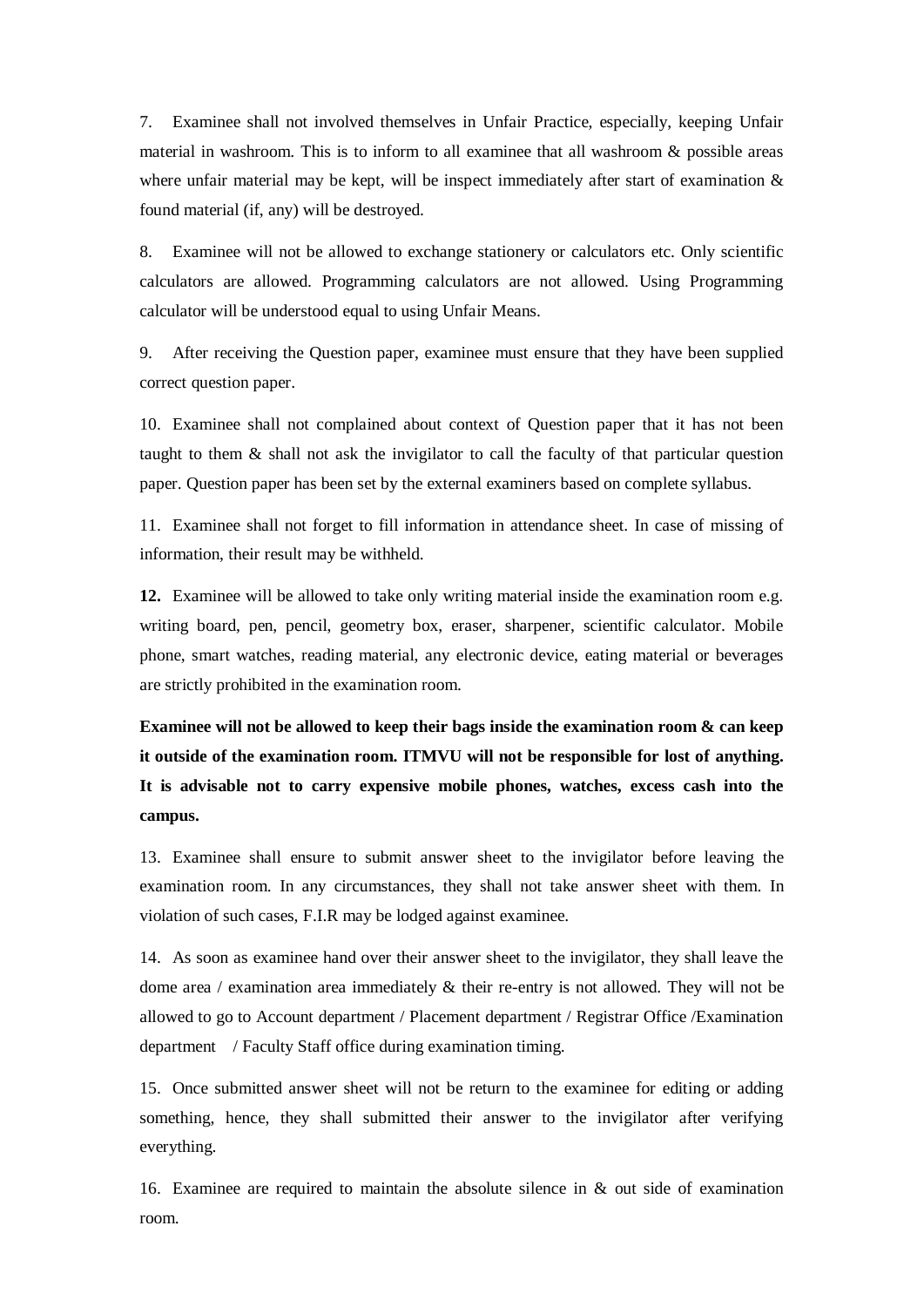7. Examinee shall not involved themselves in Unfair Practice, especially, keeping Unfair material in washroom. This is to inform to all examinee that all washroom & possible areas where unfair material may be kept, will be inspect immediately after start of examination  $\&$ found material (if, any) will be destroyed.

8. Examinee will not be allowed to exchange stationery or calculators etc. Only scientific calculators are allowed. Programming calculators are not allowed. Using Programming calculator will be understood equal to using Unfair Means.

9. After receiving the Question paper, examinee must ensure that they have been supplied correct question paper.

10. Examinee shall not complained about context of Question paper that it has not been taught to them & shall not ask the invigilator to call the faculty of that particular question paper. Question paper has been set by the external examiners based on complete syllabus.

11. Examinee shall not forget to fill information in attendance sheet. In case of missing of information, their result may be withheld.

**12.** Examinee will be allowed to take only writing material inside the examination room e.g. writing board, pen, pencil, geometry box, eraser, sharpener, scientific calculator. Mobile phone, smart watches, reading material, any electronic device, eating material or beverages are strictly prohibited in the examination room.

**Examinee will not be allowed to keep their bags inside the examination room & can keep it outside of the examination room. ITMVU will not be responsible for lost of anything. It is advisable not to carry expensive mobile phones, watches, excess cash into the campus.** 

13. Examinee shall ensure to submit answer sheet to the invigilator before leaving the examination room. In any circumstances, they shall not take answer sheet with them. In violation of such cases, F.I.R may be lodged against examinee.

14. As soon as examinee hand over their answer sheet to the invigilator, they shall leave the dome area / examination area immediately & their re-entry is not allowed. They will not be allowed to go to Account department / Placement department / Registrar Office /Examination department / Faculty Staff office during examination timing.

15. Once submitted answer sheet will not be return to the examinee for editing or adding something, hence, they shall submitted their answer to the invigilator after verifying everything.

16. Examinee are required to maintain the absolute silence in & out side of examination room.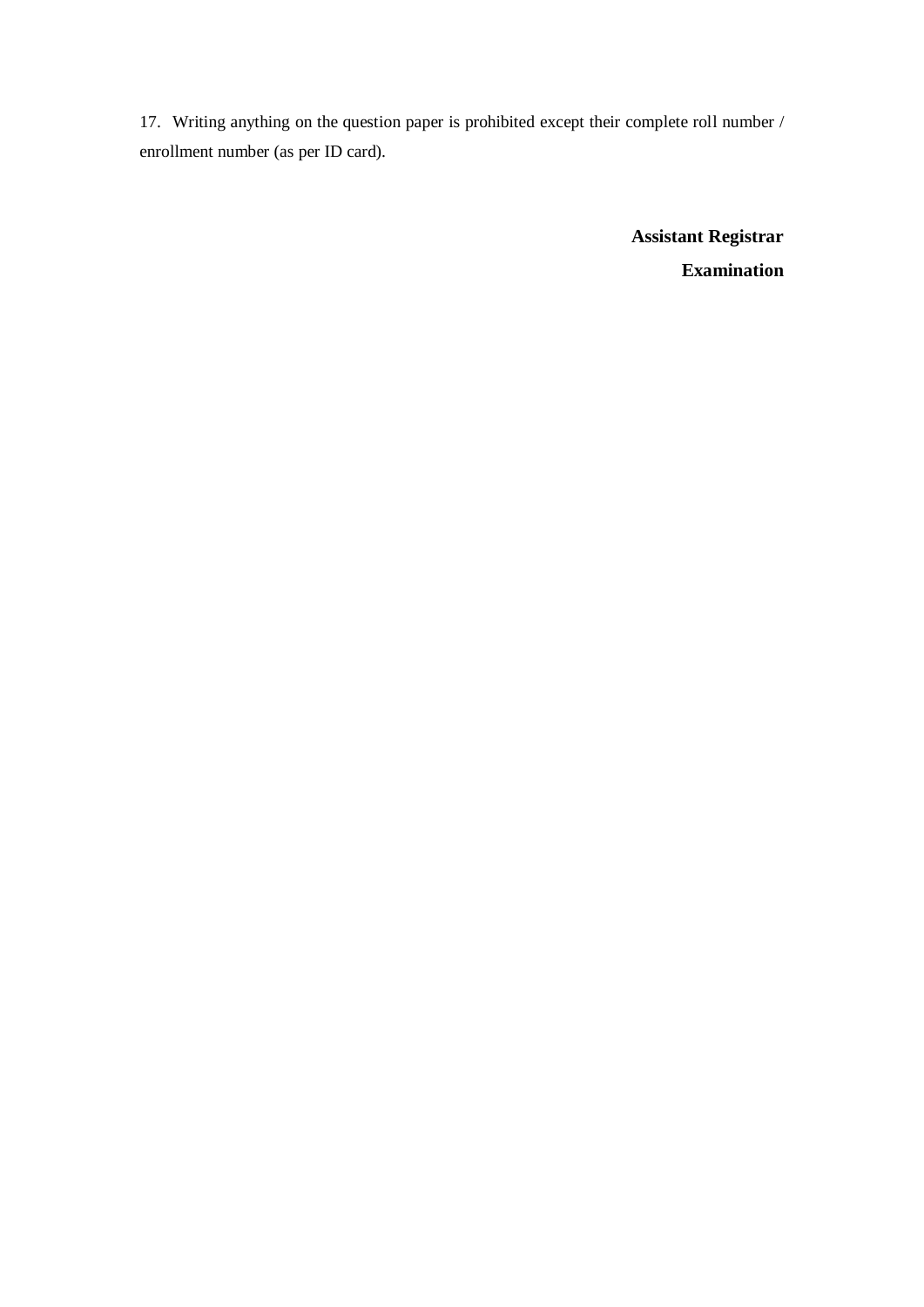17. Writing anything on the question paper is prohibited except their complete roll number / enrollment number (as per ID card).

> **Assistant Registrar Examination**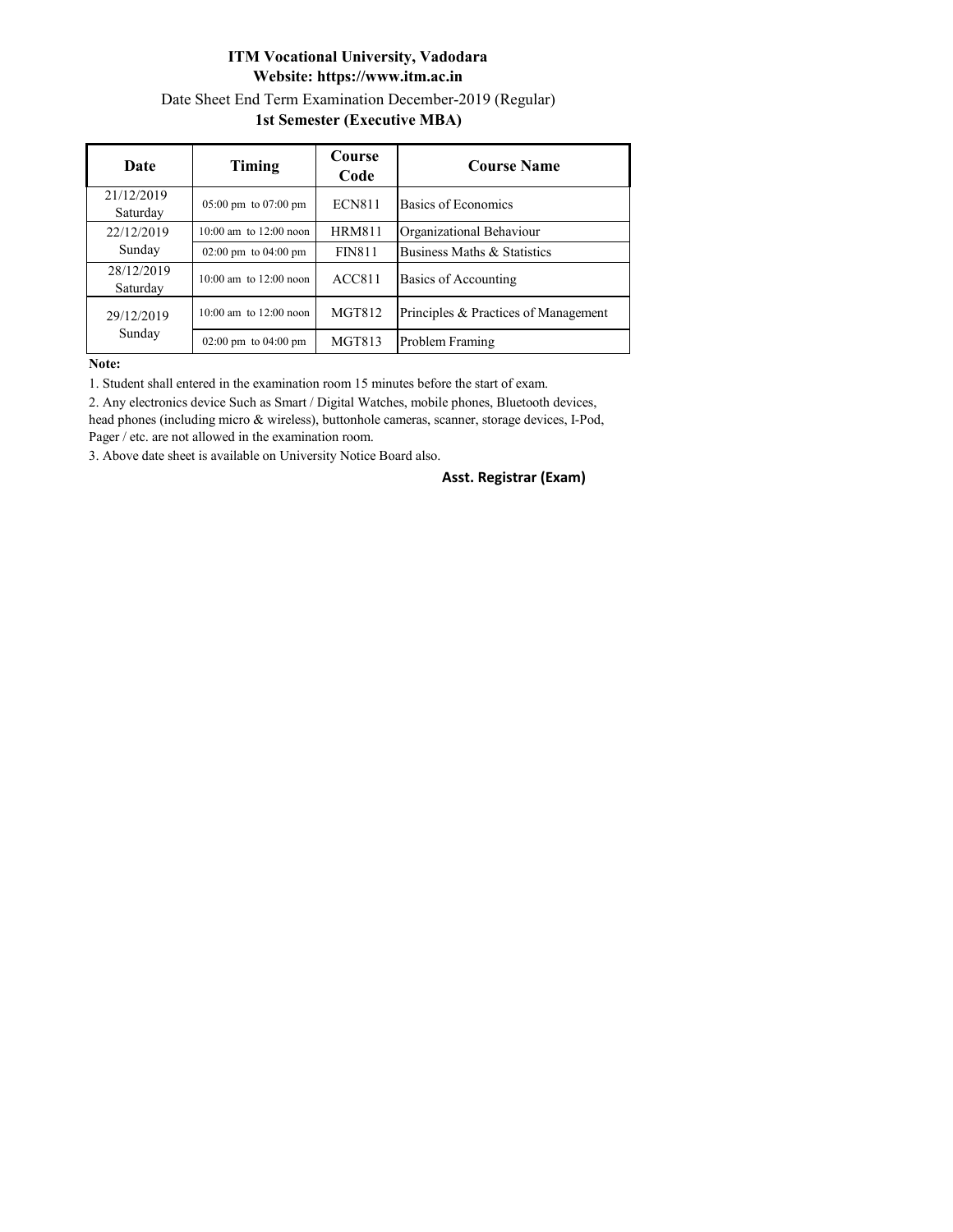## **ITM Vocational University, Vadodara Website: https://www.itm.ac.in** Date Sheet End Term Examination December-2019 (Regular) **1st Semester (Executive MBA)**

| Date                   | Timing                                   | <b>Course</b><br>Code | <b>Course Name</b>                   |
|------------------------|------------------------------------------|-----------------------|--------------------------------------|
| 21/12/2019<br>Saturday | $05:00 \text{ pm}$ to $07:00 \text{ pm}$ | <b>ECN811</b>         | Basics of Economics                  |
| 22/12/2019<br>Sunday   | $10:00$ am to $12:00$ noon               | <b>HRM811</b>         | Organizational Behaviour             |
|                        | $02:00 \text{ pm}$ to $04:00 \text{ pm}$ | <b>FIN811</b>         | Business Maths & Statistics          |
| 28/12/2019<br>Saturday | $10:00$ am to $12:00$ noon               | ACC811                | <b>Basics of Accounting</b>          |
| 29/12/2019<br>Sunday   | $10:00$ am to $12:00$ noon               | MGT812                | Principles & Practices of Management |
|                        | $02:00 \text{ pm}$ to $04:00 \text{ pm}$ | <b>MGT813</b>         | Problem Framing                      |

**Note:**

1. Student shall entered in the examination room 15 minutes before the start of exam.

2. Any electronics device Such as Smart / Digital Watches, mobile phones, Bluetooth devices, head phones (including micro & wireless), buttonhole cameras, scanner, storage devices, I-Pod, Pager / etc. are not allowed in the examination room.

3. Above date sheet is available on University Notice Board also.

**Asst. Registrar (Exam)**